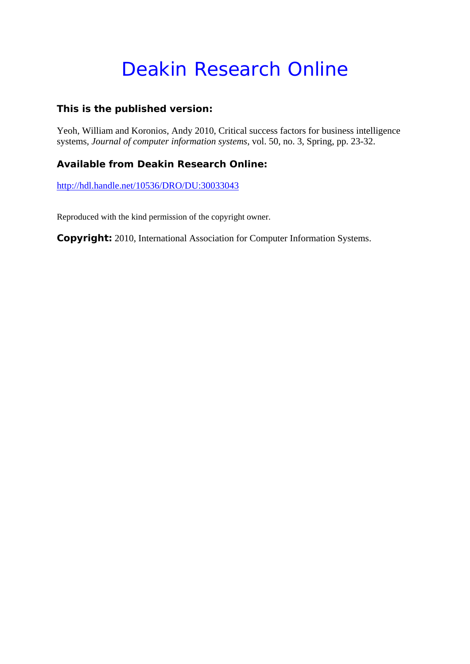# Deakin Research Online

### **This is the published version:**

Yeoh, William and Koronios, Andy 2010, Critical success factors for business intelligence systems*, Journal of computer information systems*, vol. 50, no. 3, Spring, pp. 23-32.

## **Available from Deakin Research Online:**

http://hdl.handle.net/10536/DRO/DU:30033043

Reproduced with the kind permission of the copyright owner.

**Copyright:** 2010, International Association for Computer Information Systems.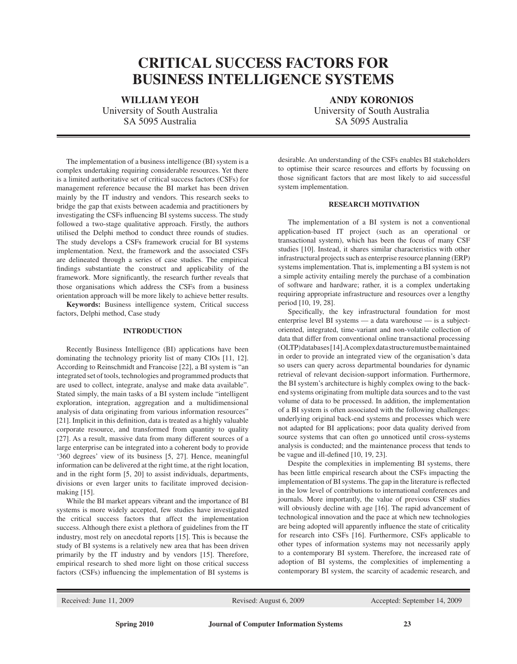# **Critical Success Factors for Business Intelligence Systems**

**WILLIAM YEOH ANDY KORONIOS**<br>University of South Australia **ANDY** University of South Austr

University of South Australia SA 5095 Australia SA 5095 Australia

The implementation of a business intelligence (BI) system is a complex undertaking requiring considerable resources. Yet there is a limited authoritative set of critical success factors (CSFs) for management reference because the BI market has been driven mainly by the IT industry and vendors. This research seeks to bridge the gap that exists between academia and practitioners by investigating the CSFs influencing BI systems success. The study followed a two-stage qualitative approach. Firstly, the authors utilised the Delphi method to conduct three rounds of studies. The study develops a CSFs framework crucial for BI systems implementation. Next, the framework and the associated CSFs are delineated through a series of case studies. The empirical findings substantiate the construct and applicability of the framework. More significantly, the research further reveals that those organisations which address the CSFs from a business orientation approach will be more likely to achieve better results.

**Keywords:** Business intelligence system, Critical success factors, Delphi method, Case study

#### **Introduction**

Recently Business Intelligence (BI) applications have been dominating the technology priority list of many CIOs [11, 12]. According to Reinschmidt and Francoise [22], a BI system is "an integrated set of tools, technologies and programmed products that are used to collect, integrate, analyse and make data available". Stated simply, the main tasks of a BI system include "intelligent exploration, integration, aggregation and a multidimensional analysis of data originating from various information resources" [21]. Implicit in this definition, data is treated as a highly valuable corporate resource, and transformed from quantity to quality [27]. As a result, massive data from many different sources of a large enterprise can be integrated into a coherent body to provide '360 degrees' view of its business [5, 27]. Hence, meaningful information can be delivered at the right time, at the right location, and in the right form [5, 20] to assist individuals, departments, divisions or even larger units to facilitate improved decisionmaking [15].

While the BI market appears vibrant and the importance of BI systems is more widely accepted, few studies have investigated the critical success factors that affect the implementation success. Although there exist a plethora of guidelines from the IT industry, most rely on anecdotal reports [15]. This is because the study of BI systems is a relatively new area that has been driven primarily by the IT industry and by vendors [15]. Therefore, empirical research to shed more light on those critical success factors (CSFs) influencing the implementation of BI systems is desirable. An understanding of the CSFs enables BI stakeholders to optimise their scarce resources and efforts by focussing on those significant factors that are most likely to aid successful system implementation.

#### **Research Motivation**

The implementation of a BI system is not a conventional application-based IT project (such as an operational or transactional system), which has been the focus of many CSF studies [10]. Instead, it shares similar characteristics with other infrastructural projects such as enterprise resource planning (ERP) systems implementation. That is, implementing a BI system is not a simple activity entailing merely the purchase of a combination of software and hardware; rather, it is a complex undertaking requiring appropriate infrastructure and resources over a lengthy period [10, 19, 28].

Specifically, the key infrastructural foundation for most enterprise level BI systems — a data warehouse — is a subjectoriented, integrated, time-variant and non-volatile collection of data that differ from conventional online transactional processing (OLTP) databases [14]. A complex data structure must be maintained in order to provide an integrated view of the organisation's data so users can query across departmental boundaries for dynamic retrieval of relevant decision-support information. Furthermore, the BI system's architecture is highly complex owing to the backend systems originating from multiple data sources and to the vast volume of data to be processed. In addition, the implementation of a BI system is often associated with the following challenges: underlying original back-end systems and processes which were not adapted for BI applications; poor data quality derived from source systems that can often go unnoticed until cross-systems analysis is conducted; and the maintenance process that tends to be vague and ill-defined [10, 19, 23].

Despite the complexities in implementing BI systems, there has been little empirical research about the CSFs impacting the implementation of BI systems. The gap in the literature is reflected in the low level of contributions to international conferences and journals. More importantly, the value of previous CSF studies will obviously decline with age [16]. The rapid advancement of technological innovation and the pace at which new technologies are being adopted will apparently influence the state of criticality for research into CSFs [16]. Furthermore, CSFs applicable to other types of information systems may not necessarily apply to a contemporary BI system. Therefore, the increased rate of adoption of BI systems, the complexities of implementing a contemporary BI system, the scarcity of academic research, and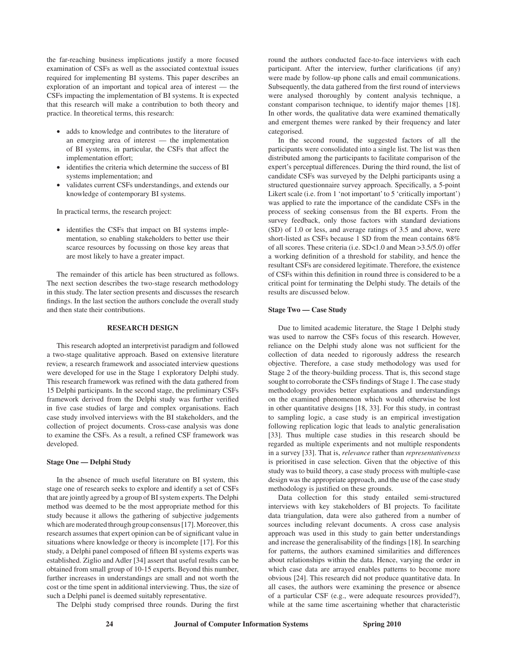the far-reaching business implications justify a more focused examination of CSFs as well as the associated contextual issues required for implementing BI systems. This paper describes an exploration of an important and topical area of interest — the CSFs impacting the implementation of BI systems. It is expected that this research will make a contribution to both theory and practice. In theoretical terms, this research:

- • adds to knowledge and contributes to the literature of an emerging area of interest — the implementation of BI systems, in particular, the CSFs that affect the implementation effort;
- identifies the criteria which determine the success of BI systems implementation; and
- validates current CSFs understandings, and extends our knowledge of contemporary BI systems.

In practical terms, the research project:

• identifies the CSFs that impact on BI systems implementation, so enabling stakeholders to better use their scarce resources by focussing on those key areas that are most likely to have a greater impact.

The remainder of this article has been structured as follows. The next section describes the two-stage research methodology in this study. The later section presents and discusses the research findings. In the last section the authors conclude the overall study and then state their contributions.

#### **Research Design**

This research adopted an interpretivist paradigm and followed a two-stage qualitative approach. Based on extensive literature review, a research framework and associated interview questions were developed for use in the Stage 1 exploratory Delphi study. This research framework was refined with the data gathered from 15 Delphi participants. In the second stage, the preliminary CSFs framework derived from the Delphi study was further verified in five case studies of large and complex organisations. Each case study involved interviews with the BI stakeholders, and the collection of project documents. Cross-case analysis was done to examine the CSFs. As a result, a refined CSF framework was developed.

#### **Stage One — Delphi Study**

In the absence of much useful literature on BI system, this stage one of research seeks to explore and identify a set of CSFs that are jointly agreed by a group of BI system experts. The Delphi method was deemed to be the most appropriate method for this study because it allows the gathering of subjective judgements which are moderated through group consensus [17]. Moreover, this research assumes that expert opinion can be of significant value in situations where knowledge or theory is incomplete [17]. For this study, a Delphi panel composed of fifteen BI systems experts was established. Ziglio and Adler [34] assert that useful results can be obtained from small group of 10-15 experts. Beyond this number, further increases in understandings are small and not worth the cost or the time spent in additional interviewing. Thus, the size of such a Delphi panel is deemed suitably representative.

The Delphi study comprised three rounds. During the first

round the authors conducted face-to-face interviews with each participant. After the interview, further clarifications (if any) were made by follow-up phone calls and email communications. Subsequently, the data gathered from the first round of interviews were analysed thoroughly by content analysis technique, a constant comparison technique, to identify major themes [18]. In other words, the qualitative data were examined thematically and emergent themes were ranked by their frequency and later categorised.

In the second round, the suggested factors of all the participants were consolidated into a single list. The list was then distributed among the participants to facilitate comparison of the expert's perceptual differences. During the third round, the list of candidate CSFs was surveyed by the Delphi participants using a structured questionnaire survey approach. Specifically, a 5-point Likert scale (i.e. from 1 'not important' to 5 'critically important') was applied to rate the importance of the candidate CSFs in the process of seeking consensus from the BI experts. From the survey feedback, only those factors with standard deviations (SD) of 1.0 or less, and average ratings of 3.5 and above, were short-listed as CSFs because 1 SD from the mean contains 68% of all scores. These criteria (i.e. SD<1.0 and Mean >3.5/5.0) offer a working definition of a threshold for stability, and hence the resultant CSFs are considered legitimate. Therefore, the existence of CSFs within this definition in round three is considered to be a critical point for terminating the Delphi study. The details of the results are discussed below.

#### **Stage Two — Case Study**

Due to limited academic literature, the Stage 1 Delphi study was used to narrow the CSFs focus of this research. However, reliance on the Delphi study alone was not sufficient for the collection of data needed to rigorously address the research objective. Therefore, a case study methodology was used for Stage 2 of the theory-building process. That is, this second stage sought to corroborate the CSFs findings of Stage 1. The case study methodology provides better explanations and understandings on the examined phenomenon which would otherwise be lost in other quantitative designs [18, 33]. For this study, in contrast to sampling logic, a case study is an empirical investigation following replication logic that leads to analytic generalisation [33]. Thus multiple case studies in this research should be regarded as multiple experiments and not multiple respondents in a survey [33]. That is, *relevance* rather than *representativeness* is prioritised in case selection. Given that the objective of this study was to build theory, a case study process with multiple-case design was the appropriate approach, and the use of the case study methodology is justified on these grounds.

Data collection for this study entailed semi-structured interviews with key stakeholders of BI projects. To facilitate data triangulation, data were also gathered from a number of sources including relevant documents. A cross case analysis approach was used in this study to gain better understandings and increase the generalisability of the findings [18]. In searching for patterns, the authors examined similarities and differences about relationships within the data. Hence, varying the order in which case data are arrayed enables patterns to become more obvious [24]. This research did not produce quantitative data. In all cases, the authors were examining the presence or absence of a particular CSF (e.g., were adequate resources provided?), while at the same time ascertaining whether that characteristic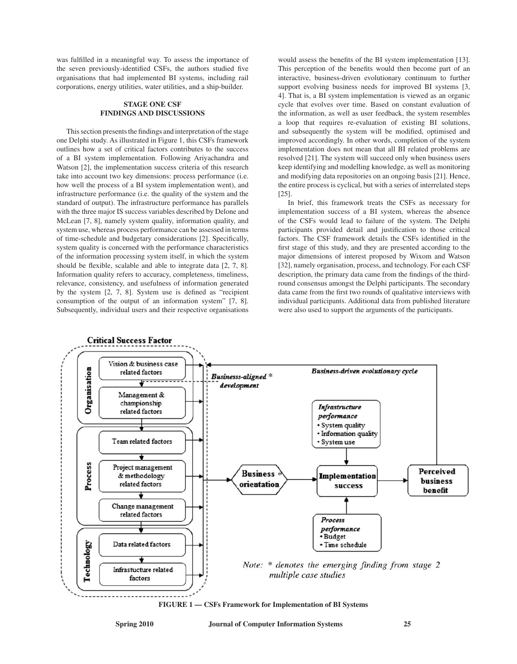was fulfilled in a meaningful way. To assess the importance of the seven previously-identified CSFs, the authors studied five organisations that had implemented BI systems, including rail corporations, energy utilities, water utilities, and a ship-builder.

#### **Stage One CSF Findings and Discussions**

This section presents the findings and interpretation of the stage one Delphi study. As illustrated in Figure 1, this CSFs framework outlines how a set of critical factors contributes to the success of a BI system implementation. Following Ariyachandra and Watson [2], the implementation success criteria of this research take into account two key dimensions: process performance (i.e. how well the process of a BI system implementation went), and infrastructure performance (i.e. the quality of the system and the standard of output). The infrastructure performance has parallels with the three major IS success variables described by Delone and McLean [7, 8], namely system quality, information quality, and system use, whereas process performance can be assessed in terms of time-schedule and budgetary considerations [2]. Specifically, system quality is concerned with the performance characteristics of the information processing system itself, in which the system should be flexible, scalable and able to integrate data [2, 7, 8]. Information quality refers to accuracy, completeness, timeliness, relevance, consistency, and usefulness of information generated by the system [2, 7, 8]. System use is defined as "recipient consumption of the output of an information system" [7, 8]. Subsequently, individual users and their respective organisations would assess the benefits of the BI system implementation [13]. This perception of the benefits would then become part of an interactive, business-driven evolutionary continuum to further support evolving business needs for improved BI systems [3, 4]. That is, a BI system implementation is viewed as an organic cycle that evolves over time. Based on constant evaluation of the information, as well as user feedback, the system resembles a loop that requires re-evaluation of existing BI solutions, and subsequently the system will be modified, optimised and improved accordingly. In other words, completion of the system implementation does not mean that all BI related problems are resolved [21]. The system will succeed only when business users keep identifying and modelling knowledge, as well as monitoring and modifying data repositories on an ongoing basis [21]. Hence, the entire process is cyclical, but with a series of interrelated steps [25].

In brief, this framework treats the CSFs as necessary for implementation success of a BI system, whereas the absence of the CSFs would lead to failure of the system. The Delphi participants provided detail and justification to those critical factors. The CSF framework details the CSFs identified in the first stage of this study, and they are presented according to the major dimensions of interest proposed by Wixom and Watson [32], namely organisation, process, and technology. For each CSF description, the primary data came from the findings of the thirdround consensus amongst the Delphi participants. The secondary data came from the first two rounds of qualitative interviews with individual participants. Additional data from published literature were also used to support the arguments of the participants.



**FIGURE 1 — CSFs Framework for Implementation of BI Systems**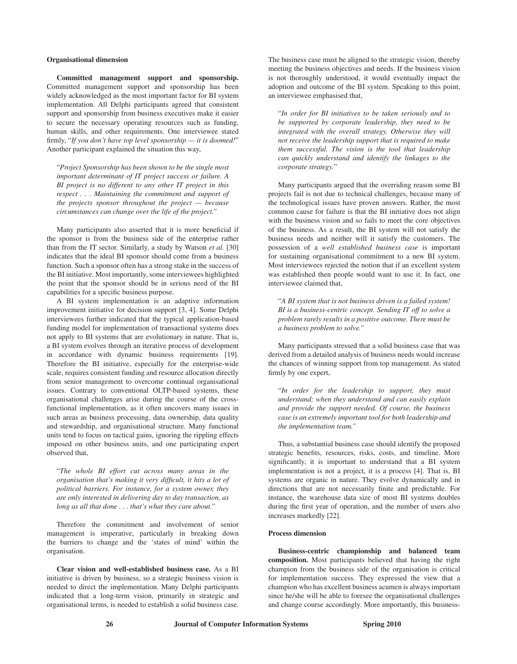#### **Organisational dimension**

**Committed management support and sponsorship.**  Committed management support and sponsorship has been widely acknowledged as the most important factor for BI system implementation. All Delphi participants agreed that consistent support and sponsorship from business executives make it easier to secure the necessary operating resources such as funding, human skills, and other requirements. One interviewee stated firmly, "*If you don't have top level sponsorship — it is doomed!*" Another participant explained the situation this way,

"*Project Sponsorship has been shown to be the single most important determinant of IT project success or failure. A BI project is no different to any other IT project in this respect . . . Maintaining the commitment and support of the projects sponsor throughout the project — because circumstances can change over the life of the project."*

Many participants also asserted that it is more beneficial if the sponsor is from the business side of the enterprise rather than from the IT sector. Similarly, a study by Watson *et al.* [30] indicates that the ideal BI sponsor should come from a business function. Such a sponsor often has a strong stake in the success of the BI initiative. Most importantly, some interviewees highlighted the point that the sponsor should be in serious need of the BI capabilities for a specific business purpose.

A BI system implementation is an adaptive information improvement initiative for decision support [3, 4]. Some Delphi interviewees further indicated that the typical application-based funding model for implementation of transactional systems does not apply to BI systems that are evolutionary in nature. That is, a BI system evolves through an iterative process of development in accordance with dynamic business requirements [19]. Therefore the BI initiative, especially for the enterprise-wide scale, requires consistent funding and resource allocation directly from senior management to overcome continual organisational issues. Contrary to conventional OLTP-based systems, these organisational challenges arise during the course of the crossfunctional implementation, as it often uncovers many issues in such areas as business processing, data ownership, data quality and stewardship, and organisational structure. Many functional units tend to focus on tactical gains, ignoring the rippling effects imposed on other business units, and one participating expert observed that,

"*The whole BI effort cut across many areas in the organisation that's making it very difficult, it hits a lot of political barriers. For instance, for a system owner, they are only interested in delivering day to day transaction, as long as all that done . . . that's what they care about."* 

Therefore the commitment and involvement of senior management is imperative, particularly in breaking down the barriers to change and the 'states of mind' within the organisation.

**Clear vision and well-established business case.** As a BI initiative is driven by business, so a strategic business vision is needed to direct the implementation. Many Delphi participants indicated that a long-term vision, primarily in strategic and organisational terms, is needed to establish a solid business case. The business case must be aligned to the strategic vision, thereby meeting the business objectives and needs. If the business vision is not thoroughly understood, it would eventually impact the adoption and outcome of the BI system. Speaking to this point, an interviewee emphasised that,

"*In order for BI initiatives to be taken seriously and to be supported by corporate leadership, they need to be integrated with the overall strategy. Otherwise they will not receive the leadership support that is required to make them successful. The vision is the tool that leadership can quickly understand and identify the linkages to the corporate strategy.*"

Many participants argued that the overriding reason some BI projects fail is not due to technical challenges, because many of the technological issues have proven answers. Rather, the most common cause for failure is that the BI initiative does not align with the business vision and so fails to meet the core objectives of the business. As a result, the BI system will not satisfy the business needs and neither will it satisfy the customers. The possession of a *well established business case* is important for sustaining organisational commitment to a new BI system. Most interviewees rejected the notion that if an excellent system was established then people would want to use it. In fact, one interviewee claimed that,

"*A BI system that is not business driven is a failed system! BI is a business-centric concept. Sending IT off to solve a problem rarely results in a positive outcome. There must be a business problem to solve."*

Many participants stressed that a solid business case that was derived from a detailed analysis of business needs would increase the chances of winning support from top management. As stated firmly by one expert,

"*In order for the leadership to support, they must understand; when they understand and can easily explain and provide the support needed. Of course, the business case is an extremely important tool for both leadership and the implementation team."*

Thus, a substantial business case should identify the proposed strategic benefits, resources, risks, costs, and timeline. More significantly, it is important to understand that a BI system implementation is not a project, it is a process [4]. That is, BI systems are organic in nature. They evolve dynamically and in directions that are not necessarily finite and predictable. For instance, the warehouse data size of most BI systems doubles during the first year of operation, and the number of users also increases markedly [22].

#### **Process dimension**

**Business-centric championship and balanced team composition.** Most participants believed that having the right champion from the business side of the organisation is critical for implementation success. They expressed the view that a champion who has excellent business acumen is always important since he/she will be able to foresee the organisational challenges and change course accordingly. More importantly, this business-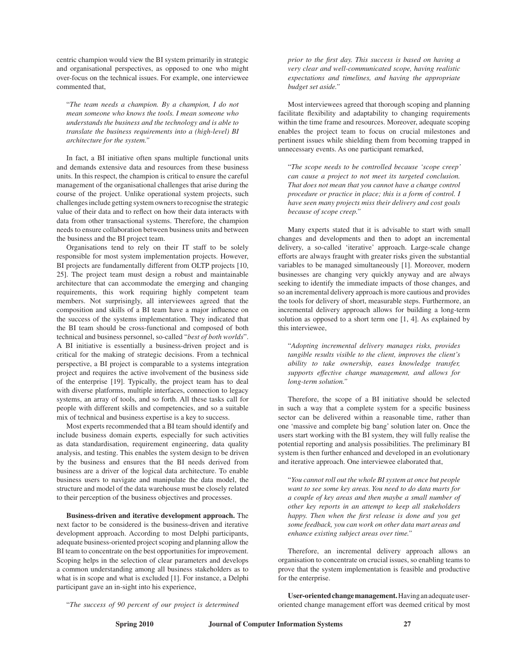centric champion would view the BI system primarily in strategic and organisational perspectives, as opposed to one who might over-focus on the technical issues. For example, one interviewee commented that,

"*The team needs a champion. By a champion, I do not mean someone who knows the tools. I mean someone who understands the business and the technology and is able to translate the business requirements into a (high-level) BI architecture for the system."* 

In fact, a BI initiative often spans multiple functional units and demands extensive data and resources from these business units. In this respect, the champion is critical to ensure the careful management of the organisational challenges that arise during the course of the project. Unlike operational system projects, such challenges include getting system owners to recognise the strategic value of their data and to reflect on how their data interacts with data from other transactional systems. Therefore, the champion needs to ensure collaboration between business units and between the business and the BI project team.

Organisations tend to rely on their IT staff to be solely responsible for most system implementation projects. However, BI projects are fundamentally different from OLTP projects [10, 25]. The project team must design a robust and maintainable architecture that can accommodate the emerging and changing requirements, this work requiring highly competent team members. Not surprisingly, all interviewees agreed that the composition and skills of a BI team have a major influence on the success of the systems implementation. They indicated that the BI team should be cross-functional and composed of both technical and business personnel, so-called "*best of both worlds*". A BI initiative is essentially a business-driven project and is critical for the making of strategic decisions. From a technical perspective, a BI project is comparable to a systems integration project and requires the active involvement of the business side of the enterprise [19]. Typically, the project team has to deal with diverse platforms, multiple interfaces, connection to legacy systems, an array of tools, and so forth. All these tasks call for people with different skills and competencies, and so a suitable mix of technical and business expertise is a key to success.

Most experts recommended that a BI team should identify and include business domain experts*,* especially for such activities as data standardisation, requirement engineering, data quality analysis, and testing. This enables the system design to be driven by the business and ensures that the BI needs derived from business are a driver of the logical data architecture. To enable business users to navigate and manipulate the data model, the structure and model of the data warehouse must be closely related to their perception of the business objectives and processes.

**Business-driven and iterative development approach.** The next factor to be considered is the business-driven and iterative development approach. According to most Delphi participants, adequate business-oriented project scoping and planning allow the BI team to concentrate on the best opportunities for improvement. Scoping helps in the selection of clear parameters and develops a common understanding among all business stakeholders as to what is in scope and what is excluded [1]. For instance, a Delphi participant gave an in-sight into his experience,

*prior to the first day. This success is based on having a very clear and well-communicated scope, having realistic expectations and timelines, and having the appropriate budget set aside."* 

Most interviewees agreed that thorough scoping and planning facilitate flexibility and adaptability to changing requirements within the time frame and resources. Moreover, adequate scoping enables the project team to focus on crucial milestones and pertinent issues while shielding them from becoming trapped in unnecessary events. As one participant remarked,

"*The scope needs to be controlled because 'scope creep' can cause a project to not meet its targeted conclusion. That does not mean that you cannot have a change control procedure or practice in place; this is a form of control. I have seen many projects miss their delivery and cost goals because of scope creep."*

Many experts stated that it is advisable to start with small changes and developments and then to adopt an incremental delivery, a so-called 'iterative' approach. Large-scale change efforts are always fraught with greater risks given the substantial variables to be managed simultaneously [1]. Moreover, modern businesses are changing very quickly anyway and are always seeking to identify the immediate impacts of those changes, and so an incremental delivery approach is more cautious and provides the tools for delivery of short, measurable steps. Furthermore, an incremental delivery approach allows for building a long-term solution as opposed to a short term one [1, 4]. As explained by this interviewee,

"*Adopting incremental delivery manages risks, provides tangible results visible to the client, improves the client's ability to take ownership, eases knowledge transfer, supports effective change management, and allows for long-term solution."*

Therefore, the scope of a BI initiative should be selected in such a way that a complete system for a specific business sector can be delivered within a reasonable time, rather than one 'massive and complete big bang' solution later on. Once the users start working with the BI system, they will fully realise the potential reporting and analysis possibilities. The preliminary BI system is then further enhanced and developed in an evolutionary and iterative approach. One interviewee elaborated that,

"*You cannot roll out the whole BI system at once but people want to see some key areas. You need to do data marts for a couple of key areas and then maybe a small number of other key reports in an attempt to keep all stakeholders happy. Then when the first release is done and you get some feedback, you can work on other data mart areas and enhance existing subject areas over time."*

Therefore, an incremental delivery approach allows an organisation to concentrate on crucial issues, so enabling teams to prove that the system implementation is feasible and productive for the enterprise.

"*The success of 90 percent of our project is determined* 

**User-oriented change management.** Having an adequate useroriented change management effort was deemed critical by most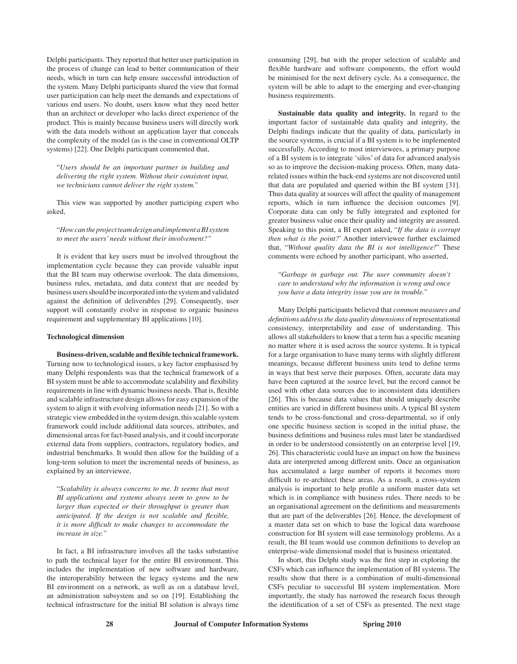Delphi participants. They reported that better user participation in the process of change can lead to better communication of their needs, which in turn can help ensure successful introduction of the system. Many Delphi participants shared the view that formal user participation can help meet the demands and expectations of various end users. No doubt, users know what they need better than an architect or developer who lacks direct experience of the product. This is mainly because business users will directly work with the data models without an application layer that conceals the complexity of the model (as is the case in conventional OLTP systems) [22]. One Delphi participant commented that,

"*Users should be an important partner in building and delivering the right system. Without their consistent input, we technicians cannot deliver the right system."*

This view was supported by another participing expert who asked,

"*How can the project team design and implement a BI system to meet the users' needs without their involvement?"* 

It is evident that key users must be involved throughout the implementation cycle because they can provide valuable input that the BI team may otherwise overlook. The data dimensions, business rules, metadata, and data context that are needed by business users should be incorporated into the system and validated against the definition of deliverables [29]. Consequently, user support will constantly evolve in response to organic business requirement and supplementary BI applications [10].

#### **Technological dimension**

**Business-driven, scalable and flexible technical framework.** Turning now to technological issues, a key factor emphasised by many Delphi respondents was that the technical framework of a BI system must be able to accommodate scalability and flexibility requirements in line with dynamic business needs. That is, flexible and scalable infrastructure design allows for easy expansion of the system to align it with evolving information needs [21]. So with a strategic view embedded in the system design, this scalable system framework could include additional data sources, attributes, and dimensional areas for fact-based analysis, and it could incorporate external data from suppliers, contractors, regulatory bodies, and industrial benchmarks. It would then allow for the building of a long-term solution to meet the incremental needs of business, as explained by an interviewee,

"*Scalability is always concerns to me. It seems that most BI applications and systems always seem to grow to be larger than expected or their throughput is greater than anticipated. If the design is not scalable and flexible, it is more difficult to make changes to accommodate the increase in size."*

In fact, a BI infrastructure involves all the tasks substantive to path the technical layer for the entire BI environment. This includes the implementation of new software and hardware, the interoperability between the legacy systems and the new BI environment on a network, as well as on a database level, an administration subsystem and so on [19]. Establishing the technical infrastructure for the initial BI solution is always time consuming [29], but with the proper selection of scalable and flexible hardware and software components, the effort would be minimised for the next delivery cycle. As a consequence, the system will be able to adapt to the emerging and ever-changing business requirements.

**Sustainable data quality and integrity.** In regard to the important factor of sustainable data quality and integrity, the Delphi findings indicate that the quality of data, particularly in the source systems, is crucial if a BI system is to be implemented successfully. According to most interviewees, a primary purpose of a BI system is to integrate 'silos' of data for advanced analysis so as to improve the decision-making process. Often, many datarelated issues within the back-end systems are not discovered until that data are populated and queried within the BI system [31]. Thus data quality at sources will affect the quality of management reports, which in turn influence the decision outcomes [9]. Corporate data can only be fully integrated and exploited for greater business value once their quality and integrity are assured. Speaking to this point, a BI expert asked, "*If the data is corrupt then what is the point?*' Another interviewee further exclaimed that, "*Without quality data the BI is not intelligence!*" These comments were echoed by another participant, who asserted,

"*Garbage in garbage out. The user community doesn't care to understand why the information is wrong and once you have a data integrity issue you are in trouble."*

Many Delphi participants believed that *common measures and definitions address the data quality dimensions* of representational consistency, interpretability and ease of understanding. This allows all stakeholders to know that a term has a specific meaning no matter where it is used across the source systems. It is typical for a large organisation to have many terms with slightly different meanings, because different business units tend to define terms in ways that best serve their purposes. Often, accurate data may have been captured at the source level, but the record cannot be used with other data sources due to inconsistent data identifiers [26]. This is because data values that should uniquely describe entities are varied in different business units. A typical BI system tends to be cross-functional and cross-departmental, so if only one specific business section is scoped in the initial phase, the business definitions and business rules must later be standardised in order to be understood consistently on an enterprise level [19, 26]. This characteristic could have an impact on how the business data are interpreted among different units. Once an organisation has accumulated a large number of reports it becomes more difficult to re-architect these areas. As a result, a cross-system analysis is important to help profile a uniform master data set which is in compliance with business rules. There needs to be an organisational agreement on the definitions and measurements that are part of the deliverables [26]. Hence, the development of a master data set on which to base the logical data warehouse construction for BI system will ease terminology problems. As a result, the BI team would use common definitions to develop an enterprise-wide dimensional model that is business orientated.

In short, this Delphi study was the first step in exploring the CSFs which can influence the implementation of BI systems. The results show that there is a combination of multi-dimensional CSFs peculiar to successful BI system implementation. More importantly, the study has narrowed the research focus through the identification of a set of CSFs as presented. The next stage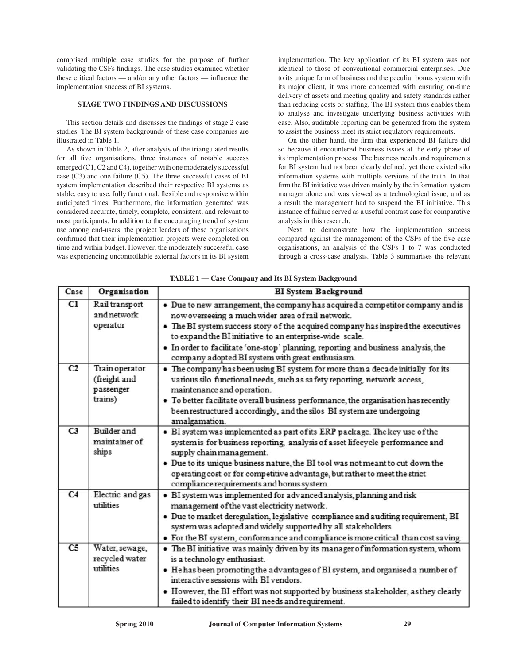comprised multiple case studies for the purpose of further validating the CSFs findings. The case studies examined whether these critical factors — and/or any other factors — influence the implementation success of BI systems.

#### **Stage Two Findings and Discussions**

This section details and discusses the findings of stage 2 case studies. The BI system backgrounds of these case companies are illustrated in Table 1.

As shown in Table 2, after analysis of the triangulated results for all five organisations, three instances of notable success emerged (C1, C2 and C4), together with one moderately successful case (C3) and one failure (C5). The three successful cases of BI system implementation described their respective BI systems as stable, easy to use, fully functional, flexible and responsive within anticipated times. Furthermore, the information generated was considered accurate, timely, complete, consistent, and relevant to most participants. In addition to the encouraging trend of system use among end-users, the project leaders of these organisations confirmed that their implementation projects were completed on time and within budget. However, the moderately successful case was experiencing uncontrollable external factors in its BI system implementation. The key application of its BI system was not identical to those of conventional commercial enterprises. Due to its unique form of business and the peculiar bonus system with its major client, it was more concerned with ensuring on-time delivery of assets and meeting quality and safety standards rather than reducing costs or staffing. The BI system thus enables them to analyse and investigate underlying business activities with ease. Also, auditable reporting can be generated from the system to assist the business meet its strict regulatory requirements.

On the other hand, the firm that experienced BI failure did so because it encountered business issues at the early phase of its implementation process. The business needs and requirements for BI system had not been clearly defined, yet there existed silo information systems with multiple versions of the truth. In that firm the BI initiative was driven mainly by the information system manager alone and was viewed as a technological issue, and as a result the management had to suspend the BI initiative. This instance of failure served as a useful contrast case for comparative analysis in this research.

Next, to demonstrate how the implementation success compared against the management of the CSFs of the five case organisations, an analysis of the CSFs 1 to 7 was conducted through a cross-case analysis. Table 3 summarises the relevant

| Case           | Organisation                                           | <b>BI</b> System Background                                                                                                                                                                                                                                                                                                                                                                                                    |  |  |  |  |  |
|----------------|--------------------------------------------------------|--------------------------------------------------------------------------------------------------------------------------------------------------------------------------------------------------------------------------------------------------------------------------------------------------------------------------------------------------------------------------------------------------------------------------------|--|--|--|--|--|
| C1             | Rail transport<br>and network<br>operator              | • Due to new arrangement, the company has acquired a competitor company and is<br>now overseeing a much wider area of rail network.<br>• The BI system success story of the acquired company has inspired the executives<br>to expand the BI initiative to an enterprise-wide scale.<br>• In order to facilitate 'one-stop' planning, reporting and business analysis, the<br>company adopted BI system with great enthusiasm. |  |  |  |  |  |
| C2             | Train operator<br>(freight and<br>passenger<br>trains) | • The company has been using BI system for more than a decade initially for its<br>various silo functional needs, such as safety reporting, network access,<br>maintenance and operation.<br>• To better facilitate overall business performance, the organisation has recently<br>been restructured accordingly, and the silos BI system are undergoing<br>amalgamation.                                                      |  |  |  |  |  |
| C <sub>3</sub> | <b>Builder</b> and<br>maintainer of<br>ships           | · BI system was implemented as part of its ERP package. The key use of the<br>system is for business reporting, analysis of asset lifecycle performance and<br>supply chain management.<br>. Due to its unique business nature, the BI tool was not meant to cut down the<br>operating cost or for competitive advantage, but rather to meet the strict<br>compliance requirements and bonus system.                           |  |  |  |  |  |
| C <sub>4</sub> | Electric and gas<br>utilities                          | · BI system was implemented for a dvanced analysis, planning and risk<br>management of the vast electricity network.<br>· Due to market deregulation, legislative compliance and auditing requirement, BI<br>system was adopted and widely supported by all stakeholders.<br>• For the BI system, conformance and compliance is more critical than cost saving.                                                                |  |  |  |  |  |
| C <sub>5</sub> | Water, sewage,<br>recycled water<br>utilities          | . The BI initiative was mainly driven by its manager of information system, whom<br>is a technology enthusiast.<br>• He has been promoting the advantages of BI system, and organised a number of<br>interactive sessions with BI vendors.<br>. However, the BI effort was not supported by business stakeholder, as they clearly<br>failed to identify their BI needs and requirement.                                        |  |  |  |  |  |

**TABLE 1 — Case Company and Its BI System Background**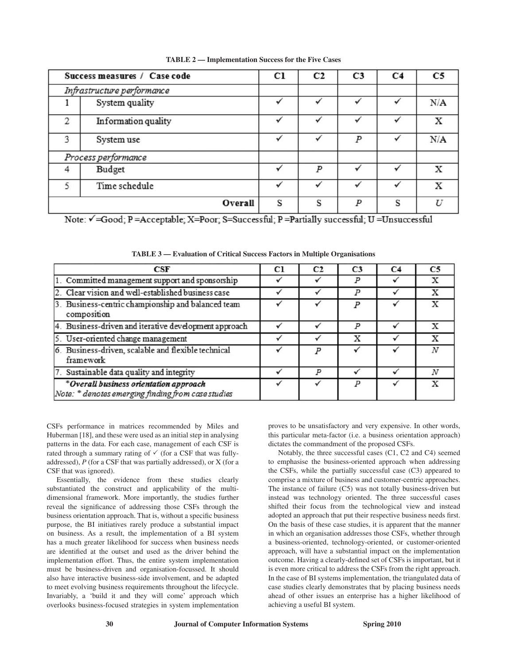|                            | Success measures / Case code | C1 | C <sub>2</sub> | C <sub>3</sub>   | C <sub>4</sub> | C <sub>5</sub> |
|----------------------------|------------------------------|----|----------------|------------------|----------------|----------------|
| Infrastructure performance |                              |    |                |                  |                |                |
|                            | System quality               |    |                |                  |                | N/A            |
| 2                          | Information quality          |    |                |                  |                | X              |
| 3                          | System use                   | ✓  | ✓              | $\boldsymbol{P}$ | ✓              | N/A            |
|                            | Process performance          |    |                |                  |                |                |
| 4                          | Budget                       |    | P              |                  |                | x              |
| 5                          | Time schedule                |    |                |                  |                | X              |
|                            | Overall                      | S  | S              | P                | S              | IJ             |

**TABLE 2 — Implementation Success for the Five Cases**

Note:  $\checkmark$  =Good; P =Acceptable; X=Poor; S=Successful; P =Partially successful; U =Unsuccessful

| CSF                                                                                          | Cl | C2               | C <sub>3</sub> | C4 | C <sub>5</sub> |
|----------------------------------------------------------------------------------------------|----|------------------|----------------|----|----------------|
| 1. Committed management support and sponsorship                                              |    |                  |                |    |                |
| 2. Clear vision and well-established business case                                           |    |                  |                |    |                |
| 3. Business-centric championship and balanced team<br>composition                            |    |                  |                |    |                |
| 4. Business-driven and iterative development approach                                        |    |                  |                |    |                |
| 5. User-oriented change management                                                           |    |                  | X              |    | x              |
| 6. Business-driven, scalable and flexible technical<br>framework                             |    |                  |                |    |                |
| 7. Sustainable data quality and integrity                                                    |    | $\boldsymbol{p}$ |                |    |                |
| *Overall business orientation approach<br>Note: * denotes emerging finding from case studies |    |                  |                |    |                |

**TABLE 3 — Evaluation of Critical Success Factors in Multiple Organisations**

CSFs performance in matrices recommended by Miles and Huberman [18], and these were used as an initial step in analysing patterns in the data. For each case, management of each CSF is rated through a summary rating of  $\checkmark$  (for a CSF that was fullyaddressed), *P* (for a CSF that was partially addressed), or X (for a CSF that was ignored).

Essentially, the evidence from these studies clearly substantiated the construct and applicability of the multidimensional framework. More importantly, the studies further reveal the significance of addressing those CSFs through the business orientation approach. That is, without a specific business purpose, the BI initiatives rarely produce a substantial impact on business. As a result, the implementation of a BI system has a much greater likelihood for success when business needs are identified at the outset and used as the driver behind the implementation effort. Thus, the entire system implementation must be business-driven and organisation-focussed. It should also have interactive business-side involvement, and be adapted to meet evolving business requirements throughout the lifecycle. Invariably, a 'build it and they will come' approach which overlooks business-focused strategies in system implementation

proves to be unsatisfactory and very expensive. In other words, this particular meta-factor (i.e. a business orientation approach) dictates the commandment of the proposed CSFs.

Notably, the three successful cases (C1, C2 and C4) seemed to emphasise the business-oriented approach when addressing the CSFs, while the partially successful case (C3) appeared to comprise a mixture of business and customer-centric approaches. The instance of failure (C5) was not totally business-driven but instead was technology oriented. The three successful cases shifted their focus from the technological view and instead adopted an approach that put their respective business needs first. On the basis of these case studies, it is apparent that the manner in which an organisation addresses those CSFs, whether through a business-oriented, technology-oriented, or customer-oriented approach, will have a substantial impact on the implementation outcome. Having a clearly-defined set of CSFs is important, but it is even more critical to address the CSFs from the right approach. In the case of BI systems implementation, the triangulated data of case studies clearly demonstrates that by placing business needs ahead of other issues an enterprise has a higher likelihood of achieving a useful BI system.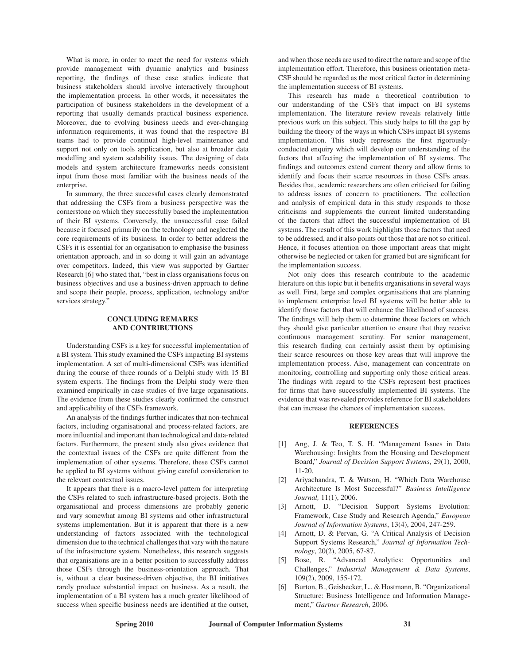What is more, in order to meet the need for systems which provide management with dynamic analytics and business reporting, the findings of these case studies indicate that business stakeholders should involve interactively throughout the implementation process. In other words, it necessitates the participation of business stakeholders in the development of a reporting that usually demands practical business experience. Moreover, due to evolving business needs and ever-changing information requirements, it was found that the respective BI teams had to provide continual high-level maintenance and support not only on tools application, but also at broader data modelling and system scalability issues. The designing of data models and system architecture frameworks needs consistent input from those most familiar with the business needs of the enterprise.

In summary, the three successful cases clearly demonstrated that addressing the CSFs from a business perspective was the cornerstone on which they successfully based the implementation of their BI systems. Conversely, the unsuccessful case failed because it focused primarily on the technology and neglected the core requirements of its business. In order to better address the CSFs it is essential for an organisation to emphasise the business orientation approach, and in so doing it will gain an advantage over competitors. Indeed, this view was supported by Gartner Research [6] who stated that, "best in class organisations focus on business objectives and use a business-driven approach to define and scope their people, process, application, technology and/or services strategy."

#### **Concluding Remarks and Contributions**

Understanding CSFs is a key for successful implementation of a BI system. This study examined the CSFs impacting BI systems implementation. A set of multi-dimensional CSFs was identified during the course of three rounds of a Delphi study with 15 BI system experts. The findings from the Delphi study were then examined empirically in case studies of five large organisations. The evidence from these studies clearly confirmed the construct and applicability of the CSFs framework.

An analysis of the findings further indicates that non-technical factors, including organisational and process-related factors, are more influential and important than technological and data-related factors. Furthermore, the present study also gives evidence that the contextual issues of the CSFs are quite different from the implementation of other systems. Therefore, these CSFs cannot be applied to BI systems without giving careful consideration to the relevant contextual issues.

It appears that there is a macro-level pattern for interpreting the CSFs related to such infrastructure-based projects. Both the organisational and process dimensions are probably generic and vary somewhat among BI systems and other infrastructural systems implementation. But it is apparent that there is a new understanding of factors associated with the technological dimension due to the technical challenges that vary with the nature of the infrastructure system. Nonetheless, this research suggests that organisations are in a better position to successfully address those CSFs through the business-orientation approach. That is, without a clear business-driven objective, the BI initiatives rarely produce substantial impact on business. As a result, the implementation of a BI system has a much greater likelihood of success when specific business needs are identified at the outset, and when those needs are used to direct the nature and scope of the implementation effort. Therefore, this business orientation meta-CSF should be regarded as the most critical factor in determining the implementation success of BI systems.

This research has made a theoretical contribution to our understanding of the CSFs that impact on BI systems implementation. The literature review reveals relatively little previous work on this subject. This study helps to fill the gap by building the theory of the ways in which CSFs impact BI systems implementation. This study represents the first rigorouslyconducted enquiry which will develop our understanding of the factors that affecting the implementation of BI systems. The findings and outcomes extend current theory and allow firms to identify and focus their scarce resources in those CSFs areas. Besides that, academic researchers are often criticised for failing to address issues of concern to practitioners. The collection and analysis of empirical data in this study responds to those criticisms and supplements the current limited understanding of the factors that affect the successful implementation of BI systems. The result of this work highlights those factors that need to be addressed, and it also points out those that are not so critical. Hence, it focuses attention on those important areas that might otherwise be neglected or taken for granted but are significant for the implementation success.

Not only does this research contribute to the academic literature on this topic but it benefits organisations in several ways as well. First, large and complex organisations that are planning to implement enterprise level BI systems will be better able to identify those factors that will enhance the likelihood of success. The findings will help them to determine those factors on which they should give particular attention to ensure that they receive continuous management scrutiny. For senior management, this research finding can certainly assist them by optimising their scarce resources on those key areas that will improve the implementation process. Also, management can concentrate on monitoring, controlling and supporting only those critical areas. The findings with regard to the CSFs represent best practices for firms that have successfully implemented BI systems. The evidence that was revealed provides reference for BI stakeholders that can increase the chances of implementation success.

#### **References**

- [1] Ang, J. & Teo, T. S. H. "Management Issues in Data Warehousing: Insights from the Housing and Development Board," *Journal of Decision Support Systems*, 29(1), 2000, 11-20.
- [2] Ariyachandra, T. & Watson, H. "Which Data Warehouse Architecture Is Most Successful?" *Business Intelligence Journal,* 11(1), 2006.
- [3] Arnott, D. "Decision Support Systems Evolution: Framework, Case Study and Research Agenda," *European Journal of Information Systems*, 13(4), 2004, 247-259.
- [4] Arnott, D. & Pervan, G. "A Critical Analysis of Decision Support Systems Research," *Journal of Information Technology*, 20(2), 2005, 67-87.
- [5] Bose, R. "Advanced Analytics: Opportunities and Challenges," *Industrial Management & Data Systems*, 109(2), 2009, 155-172.
- [6] Burton, B., Geishecker, L., & Hostmann, B. "Organizational Structure: Business Intelligence and Information Management," *Gartner Research*, 2006.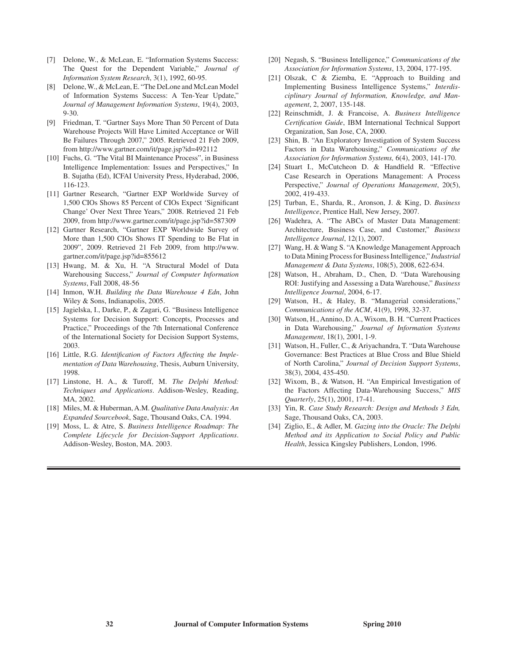- [7] Delone, W., & McLean, E. "Information Systems Success: The Quest for the Dependent Variable," *Journal of Information System Research*, 3(1), 1992, 60-95.
- [8] Delone, W., & McLean, E. "The DeLone and McLean Model of Information Systems Success: A Ten-Year Update," *Journal of Management Information Systems*, 19(4), 2003, 9-30.
- [9] Friedman, T. "Gartner Says More Than 50 Percent of Data Warehouse Projects Will Have Limited Acceptance or Will Be Failures Through 2007," 2005. Retrieved 21 Feb 2009, from http://www.gartner.com/it/page.jsp?id=492112
- [10] Fuchs, G. "The Vital BI Maintenance Process", in Business Intelligence Implementation: Issues and Perspectives," In B. Sujatha (Ed), ICFAI University Press, Hyderabad, 2006, 116-123.
- [11] Gartner Research, "Gartner EXP Worldwide Survey of 1,500 CIOs Shows 85 Percent of CIOs Expect 'Significant Change' Over Next Three Years," 2008. Retrieved 21 Feb 2009, from http://www.gartner.com/it/page.jsp?id=587309
- [12] Gartner Research, "Gartner EXP Worldwide Survey of More than 1,500 CIOs Shows IT Spending to Be Flat in 2009", 2009. Retrieved 21 Feb 2009, from http://www. gartner.com/it/page.jsp?id=855612
- [13] Hwang, M. & Xu, H. "A Structural Model of Data Warehousing Success," *Journal of Computer Information Systems*, Fall 2008, 48-56
- [14] Inmon, W.H. *Building the Data Warehouse 4 Edn*, John Wiley & Sons, Indianapolis, 2005.
- [15] Jagielska, I., Darke, P., & Zagari, G. "Business Intelligence Systems for Decision Support: Concepts, Processes and Practice," Proceedings of the 7th International Conference of the International Society for Decision Support Systems, 2003.
- [16] Little, R.G. *Identification of Factors Affecting the Implementation of Data Warehousing*, Thesis, Auburn University, 1998.
- [17] Linstone, H. A., & Turoff, M. *The Delphi Method: Techniques and Applications*. Addison-Wesley, Reading, MA, 2002.
- [18] Miles, M. & Huberman, A.M. *Qualitative Data Analysis: An Expanded Sourcebook*, Sage, Thousand Oaks, CA. 1994.
- [19] Moss, L. & Atre, S. *Business Intelligence Roadmap: The Complete Lifecycle for Decision-Support Applications*. Addison-Wesley, Boston, MA. 2003.
- [20] Negash, S. "Business Intelligence," *Communications of the Association for Information Systems*, 13, 2004, 177-195.
- [21] Olszak, C & Ziemba, E. "Approach to Building and Implementing Business Intelligence Systems," *Interdisciplinary Journal of Information, Knowledge, and Management*, 2, 2007, 135-148.
- [22] Reinschmidt, J. & Francoise, A. *Business Intelligence Certification Guide*, IBM International Technical Support Organization, San Jose, CA, 2000.
- [23] Shin, B. "An Exploratory Investigation of System Success Factors in Data Warehousing," *Communications of the Association for Information Systems,* 6(4), 2003, 141-170.
- [24] Stuart I., McCutcheon D. & Handfield R. "Effective Case Research in Operations Management: A Process Perspective," *Journal of Operations Management*, 20(5), 2002, 419-433.
- [25] Turban, E., Sharda, R., Aronson, J. & King, D. *Business Intelligence*, Prentice Hall, New Jersey, 2007.
- [26] Wadehra, A. "The ABCs of Master Data Management: Architecture, Business Case, and Customer," *Business Intelligence Journal*, 12(1), 2007.
- [27] Wang, H. & Wang S. "A Knowledge Management Approach to Data Mining Process for Business Intelligence," *Industrial Management & Data Systems*, 108(5), 2008, 622-634.
- [28] Watson, H., Abraham, D., Chen, D. "Data Warehousing ROI: Justifying and Assessing a Data Warehouse," *Business Intelligence Journal*, 2004, 6-17.
- [29] Watson, H., & Haley, B. "Managerial considerations," *Communications of the ACM*, 41(9), 1998, 32-37.
- [30] Watson, H., Annino, D. A., Wixom, B. H. "Current Practices in Data Warehousing," *Journal of Information Systems Management*, 18(1), 2001, 1-9.
- [31] Watson, H., Fuller, C., & Ariyachandra, T. "Data Warehouse Governance: Best Practices at Blue Cross and Blue Shield of North Carolina," *Journal of Decision Support Systems*, 38(3), 2004, 435-450.
- [32] Wixom, B., & Watson, H. "An Empirical Investigation of the Factors Affecting Data-Warehousing Success," *MIS Quarterly*, 25(1), 2001, 17-41.
- [33] Yin, R. *Case Study Research: Design and Methods 3 Edn,* Sage, Thousand Oaks, CA, 2003.
- [34] Ziglio, E., & Adler, M. *Gazing into the Oracle: The Delphi Method and its Application to Social Policy and Public Health*, Jessica Kingsley Publishers, London, 1996.